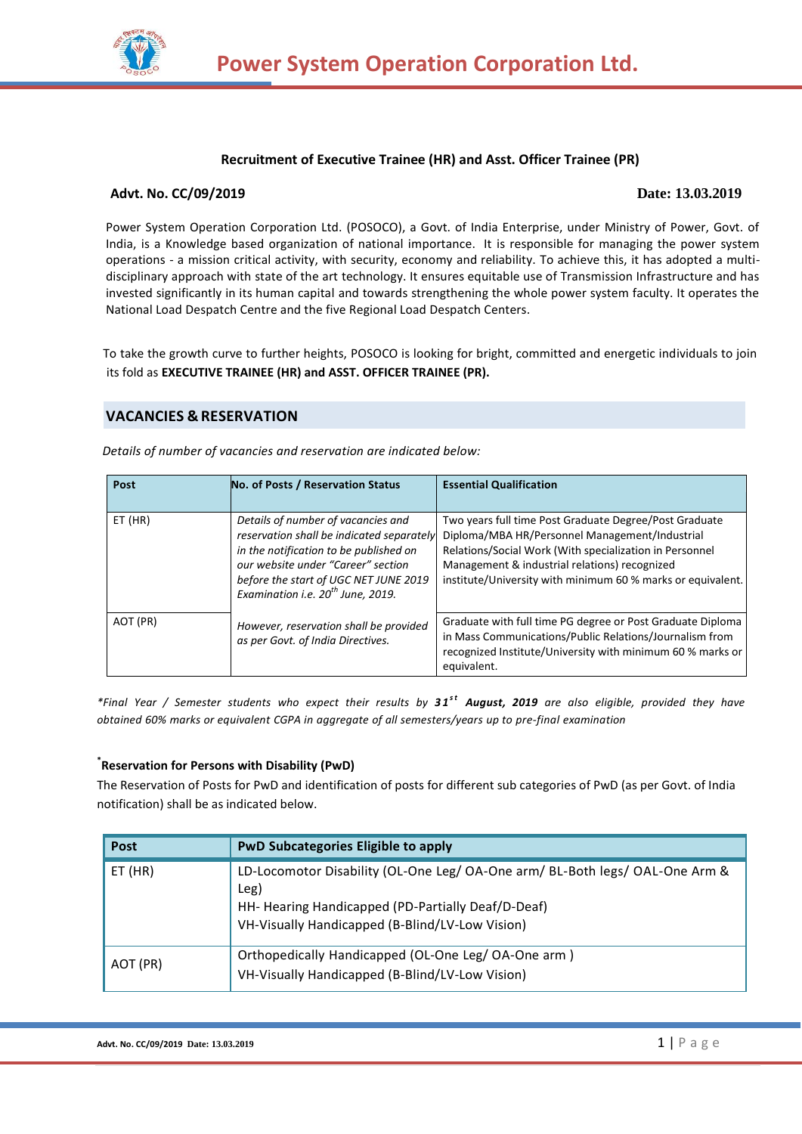

## **Recruitment of Executive Trainee (HR) and Asst. Officer Trainee (PR)**

## **Advt. No. CC/09/2019 Date: 13.03.2019**

Power System Operation Corporation Ltd. (POSOCO), a Govt. of India Enterprise, under Ministry of Power, Govt. of India, is a Knowledge based organization of national importance. It is responsible for managing the power system operations - a mission critical activity, with security, economy and reliability. To achieve this, it has adopted a multidisciplinary approach with state of the art technology. It ensures equitable use of Transmission Infrastructure and has invested significantly in its human capital and towards strengthening the whole power system faculty. It operates the National Load Despatch Centre and the five Regional Load Despatch Centers.

 To take the growth curve to further heights, POSOCO is looking for bright, committed and energetic individuals to join its fold as **EXECUTIVE TRAINEE (HR) and ASST. OFFICER TRAINEE (PR).**

# **VACANCIES & RESERVATION**

*Details of number of vacancies and reservation are indicated below:*

| Post     | No. of Posts / Reservation Status                                                                                                                                                                                                                         | <b>Essential Qualification</b>                                                                                                                                                                                                                                                      |
|----------|-----------------------------------------------------------------------------------------------------------------------------------------------------------------------------------------------------------------------------------------------------------|-------------------------------------------------------------------------------------------------------------------------------------------------------------------------------------------------------------------------------------------------------------------------------------|
| ET (HR)  | Details of number of vacancies and<br>reservation shall be indicated separately<br>in the notification to be published on<br>our website under "Career" section<br>before the start of UGC NET JUNE 2019<br>Examination i.e. 20 <sup>th</sup> June, 2019. | Two years full time Post Graduate Degree/Post Graduate<br>Diploma/MBA HR/Personnel Management/Industrial<br>Relations/Social Work (With specialization in Personnel<br>Management & industrial relations) recognized<br>institute/University with minimum 60 % marks or equivalent. |
| AOT (PR) | However, reservation shall be provided<br>as per Govt. of India Directives.                                                                                                                                                                               | Graduate with full time PG degree or Post Graduate Diploma<br>in Mass Communications/Public Relations/Journalism from<br>recognized Institute/University with minimum 60 % marks or<br>equivalent.                                                                                  |

\*Final Year / Semester students who expect their results by 31<sup>st</sup> August, 2019 are also eligible, provided they have *obtained 60% marks or equivalent CGPA in aggregate of all semesters/years up to pre-final examination*

# **\* Reservation for Persons with Disability (PwD)**

The Reservation of Posts for PwD and identification of posts for different sub categories of PwD (as per Govt. of India notification) shall be as indicated below.

| Post      | <b>PwD Subcategories Eligible to apply</b>                                                                                                                                                    |
|-----------|-----------------------------------------------------------------------------------------------------------------------------------------------------------------------------------------------|
| $ET$ (HR) | LD-Locomotor Disability (OL-One Leg/ OA-One arm/ BL-Both legs/ OAL-One Arm &<br>Leg)<br>HH- Hearing Handicapped (PD-Partially Deaf/D-Deaf)<br>VH-Visually Handicapped (B-Blind/LV-Low Vision) |
| AOT (PR)  | Orthopedically Handicapped (OL-One Leg/ OA-One arm)<br>VH-Visually Handicapped (B-Blind/LV-Low Vision)                                                                                        |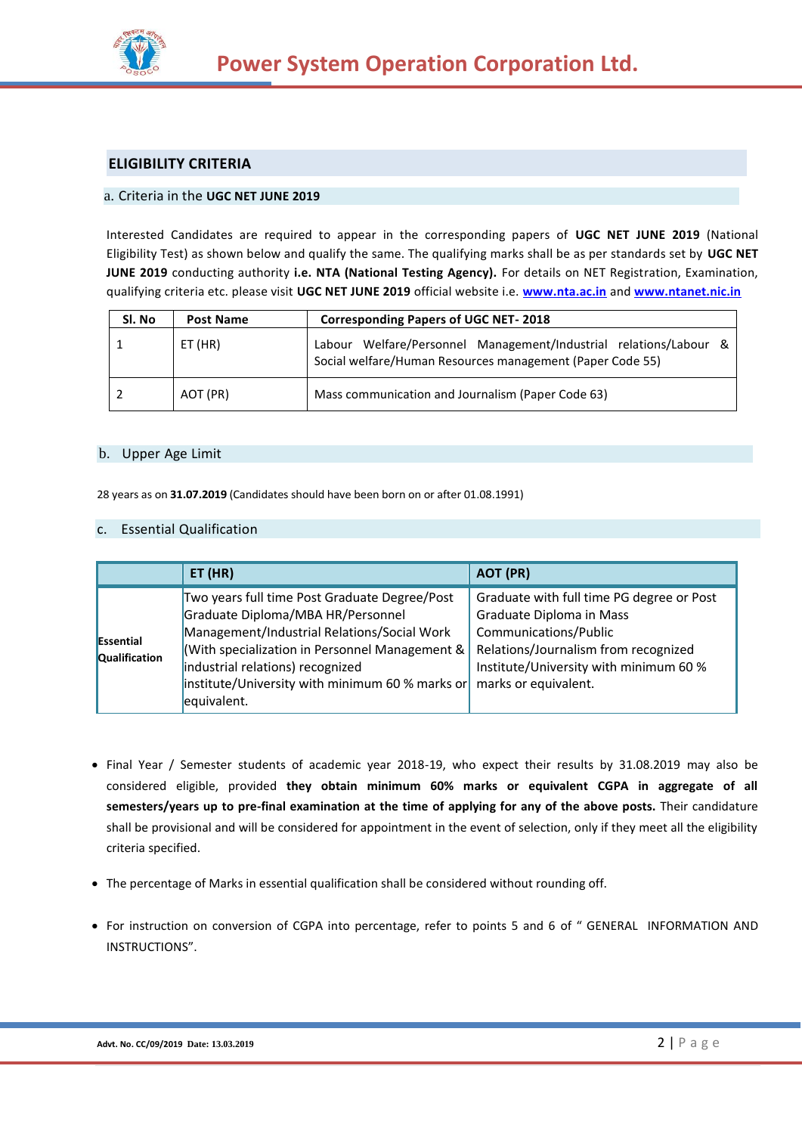

# **ELIGIBILITY CRITERIA**

## a. Criteria in the **UGC NET JUNE 2019**

Interested Candidates are required to appear in the corresponding papers of **UGC NET JUNE 2019** (National Eligibility Test) as shown below and qualify the same. The qualifying marks shall be as per standards set by **UGC NET JUNE 2019** conducting authority **i.e. NTA (National Testing Agency).** For details on NET Registration, Examination, qualifying criteria etc. please visit **UGC NET JUNE 2019** official website i.e. **[www.nta.ac.in](http://www.nta.ac.in/)** and **[www.ntanet.nic.in](http://www.ntanet.nic.in/)**

| Sl. No | <b>Post Name</b> | <b>Corresponding Papers of UGC NET-2018</b>                                                                                       |
|--------|------------------|-----------------------------------------------------------------------------------------------------------------------------------|
|        | ET (HR)          | Welfare/Personnel Management/Industrial relations/Labour &<br>Labour<br>Social welfare/Human Resources management (Paper Code 55) |
|        | AOT (PR)         | Mass communication and Journalism (Paper Code 63)                                                                                 |

## b. Upper Age Limit

28 years as on **31.07.2019** (Candidates should have been born on or after 01.08.1991)

#### c. Essential Qualification

|                                   | ET(HR)                                                                                                                                                                                                                                                                                             | AOT (PR)                                                                                                                                                                                                 |
|-----------------------------------|----------------------------------------------------------------------------------------------------------------------------------------------------------------------------------------------------------------------------------------------------------------------------------------------------|----------------------------------------------------------------------------------------------------------------------------------------------------------------------------------------------------------|
| Essential<br><b>Qualification</b> | Two years full time Post Graduate Degree/Post<br>Graduate Diploma/MBA HR/Personnel<br>Management/Industrial Relations/Social Work<br>(With specialization in Personnel Management &<br>industrial relations) recognized<br>$\left $ institute/University with minimum 60 % marks or<br>equivalent. | Graduate with full time PG degree or Post<br>Graduate Diploma in Mass<br>Communications/Public<br>Relations/Journalism from recognized<br>Institute/University with minimum 60 %<br>marks or equivalent. |

- Final Year / Semester students of academic year 2018-19, who expect their results by 31.08.2019 may also be considered eligible, provided **they obtain minimum 60% marks or equivalent CGPA in aggregate of all semesters/years up to pre-final examination at the time of applying for any of the above posts.** Their candidature shall be provisional and will be considered for appointment in the event of selection, only if they meet all the eligibility criteria specified.
- The percentage of Marks in essential qualification shall be considered without rounding off.
- For instruction on conversion of CGPA into percentage, refer to points 5 and 6 of " [GENERAL INFORMATION AND](#page-7-0)  [INSTRUCTION](#page-7-0)S".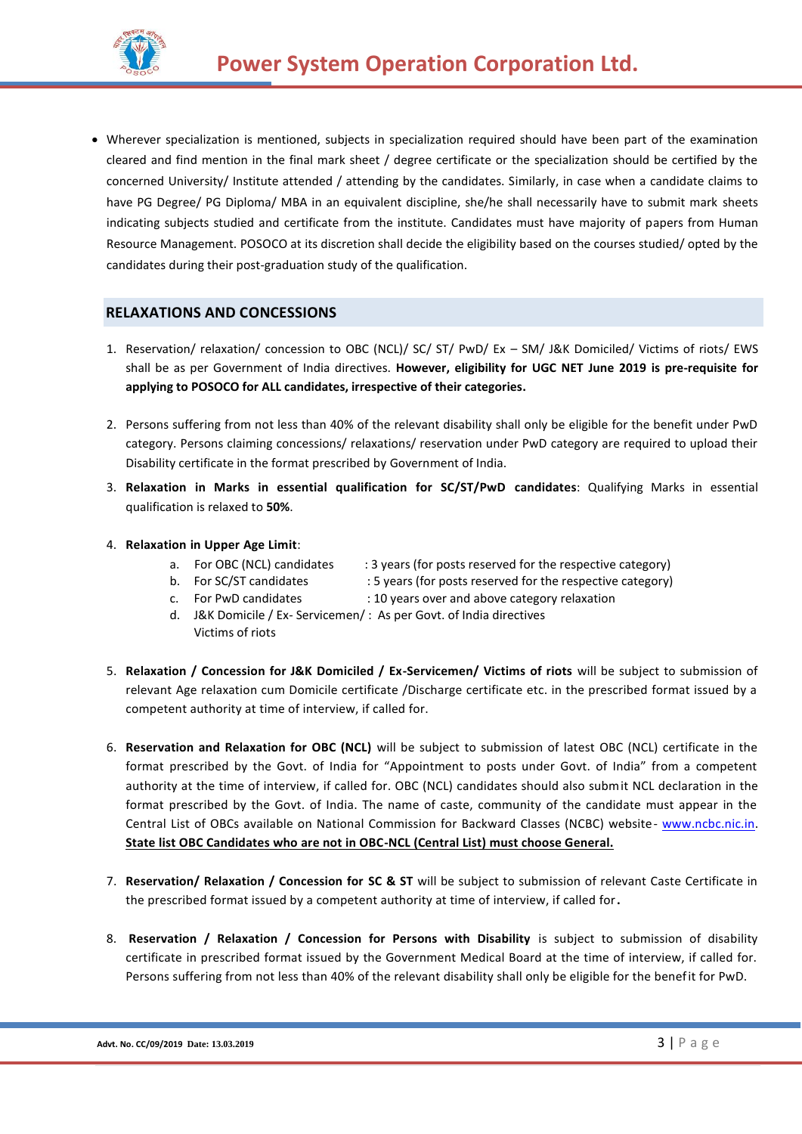

 Wherever specialization is mentioned, subjects in specialization required should have been part of the examination cleared and find mention in the final mark sheet / degree certificate or the specialization should be certified by the concerned University/ Institute attended / attending by the candidates. Similarly, in case when a candidate claims to have PG Degree/ PG Diploma/ MBA in an equivalent discipline, she/he shall necessarily have to submit mark sheets indicating subjects studied and certificate from the institute. Candidates must have majority of papers from Human Resource Management. POSOCO at its discretion shall decide the eligibility based on the courses studied/ opted by the candidates during their post-graduation study of the qualification.

# **RELAXATIONS AND CONCESSIONS**

- 1. Reservation/ relaxation/ concession to OBC (NCL)/ SC/ ST/ PwD/ Ex SM/ J&K Domiciled/ Victims of riots/ EWS shall be as per Government of India directives. **However, eligibility for UGC NET June 2019 is pre-requisite for applying to POSOCO for ALL candidates, irrespective of their categories.**
- 2. Persons suffering from not less than 40% of the relevant disability shall only be eligible for the benefit under PwD category. Persons claiming concessions/ relaxations/ reservation under PwD category are required to upload their Disability certificate in the format prescribed by Government of India.
- 3. **Relaxation in Marks in essential qualification for SC/ST/PwD candidates**: Qualifying Marks in essential qualification is relaxed to **50%**.
- 4. **Relaxation in Upper Age Limit**:
	- a. For OBC (NCL) candidates : 3 years (for posts reserved for the respective category)
	-
	- b. For SC/ST candidates : 5 years (for posts reserved for the respective category)
	-
	- c. For PwD candidates : 10 years over and above category relaxation
	- d. J&K Domicile / Ex- Servicemen/ : As per Govt. of India directives Victims of riots
- 5. **Relaxation / Concession for J&K Domiciled / Ex-Servicemen/ Victims of riots** will be subject to submission of relevant Age relaxation cum Domicile certificate /Discharge certificate etc. in the prescribed format issued by a competent authority at time of interview, if called for.
- 6. **Reservation and Relaxation for OBC (NCL)** will be subject to submission of latest OBC (NCL) certificate in the format prescribed by the Govt. of India for "Appointment to posts under Govt. of India" from a competent authority at the time of interview, if called for. OBC (NCL) candidates should also submit NCL declaration in the format prescribed by the Govt. of India. The name of caste, community of the candidate must appear in the Central List of OBCs available on National Commission for Backward Classes (NCBC) website- [www.ncbc.nic.in.](http://www.ncbc.nic.in/) **State list OBC Candidates who are not in OBC-NCL (Central List) must choose General.**
- 7. **Reservation/ Relaxation / Concession for SC & ST** will be subject to submission of relevant Caste Certificate in the prescribed format issued by a competent authority at time of interview, if called for**.**
- 8. **Reservation / Relaxation / Concession for Persons with Disability** is subject to submission of disability certificate in prescribed format issued by the Government Medical Board at the time of interview, if called for. Persons suffering from not less than 40% of the relevant disability shall only be eligible for the benefit for PwD.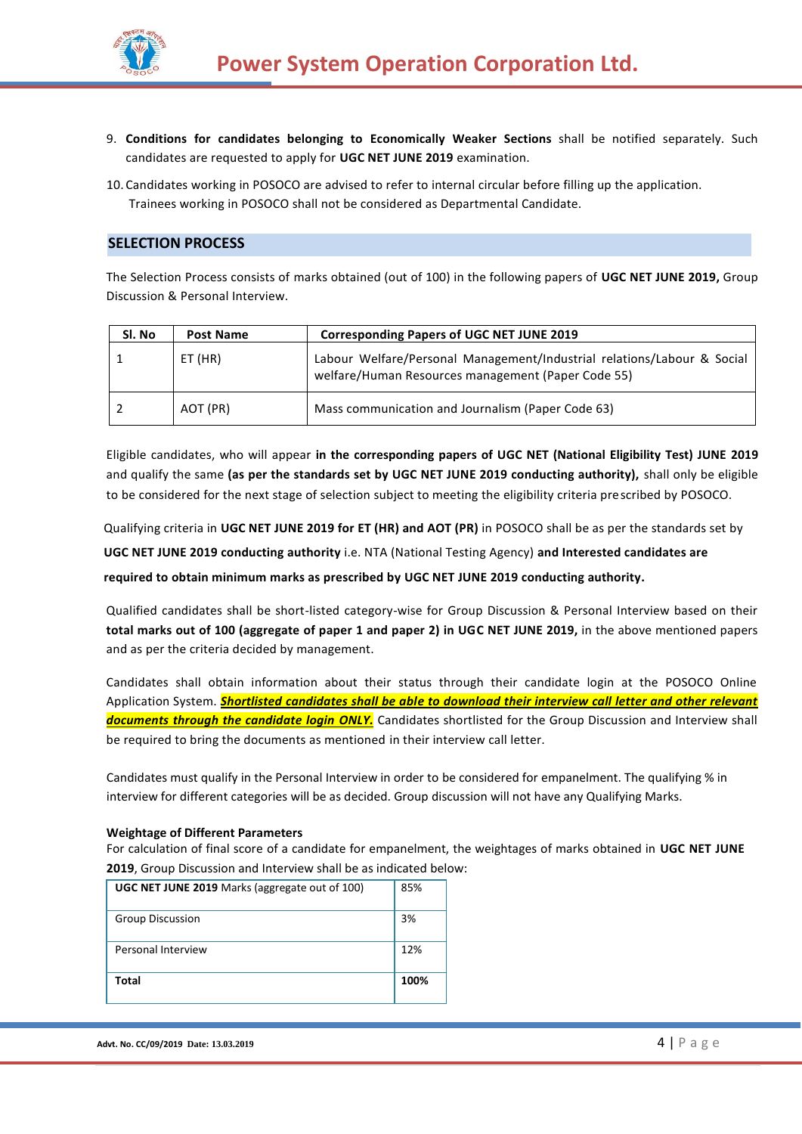

- 9. **Conditions for candidates belonging to Economically Weaker Sections** shall be notified separately. Such candidates are requested to apply for **UGC NET JUNE 2019** examination.
- 10. Candidates working in POSOCO are advised to refer to internal circular before filling up the application. Trainees working in POSOCO shall not be considered as Departmental Candidate.

## **SELECTION PROCESS**

The Selection Process consists of marks obtained (out of 100) in the following papers of **UGC NET JUNE 2019,** Group Discussion & Personal Interview.

| Sl. No | <b>Post Name</b> | <b>Corresponding Papers of UGC NET JUNE 2019</b>                                                                              |
|--------|------------------|-------------------------------------------------------------------------------------------------------------------------------|
|        | ET (HR)          | Labour Welfare/Personal Management/Industrial relations/Labour & Social<br>welfare/Human Resources management (Paper Code 55) |
|        | AOT (PR)         | Mass communication and Journalism (Paper Code 63)                                                                             |

Eligible candidates, who will appear **in the corresponding papers of UGC NET (National Eligibility Test) JUNE 2019** and qualify the same **(as per the standards set by UGC NET JUNE 2019 conducting authority),** shall only be eligible to be considered for the next stage of selection subject to meeting the eligibility criteria prescribed by POSOCO.

Qualifying criteria in **UGC NET JUNE 2019 for ET (HR) and AOT (PR)** in POSOCO shall be as per the standards set by **UGC NET JUNE 2019 conducting authority** i.e. NTA (National Testing Agency) **and Interested candidates are required to obtain minimum marks as prescribed by UGC NET JUNE 2019 conducting authority.**

Qualified candidates shall be short-listed category-wise for Group Discussion & Personal Interview based on their **total marks out of 100 (aggregate of paper 1 and paper 2) in UGC NET JUNE 2019,** in the above mentioned papers and as per the criteria decided by management.

Candidates shall obtain information about their status through their candidate login at the POSOCO Online Application System. *Shortlisted candidates shall be able to download their interview call letter and other relevant documents through the candidate login ONLY.* Candidates shortlisted for the Group Discussion and Interview shall be required to bring the documents as mentioned in their interview call letter.

Candidates must qualify in the Personal Interview in order to be considered for empanelment. The qualifying % in interview for different categories will be as decided. Group discussion will not have any Qualifying Marks.

#### **Weightage of Different Parameters**

For calculation of final score of a candidate for empanelment, the weightages of marks obtained in **UGC NET JUNE 2019**, Group Discussion and Interview shall be as indicated below:

| <b>UGC NET JUNE 2019</b> Marks (aggregate out of 100) | 85%  |
|-------------------------------------------------------|------|
| <b>Group Discussion</b>                               | 3%   |
| Personal Interview                                    | 12%  |
| Total                                                 | 100% |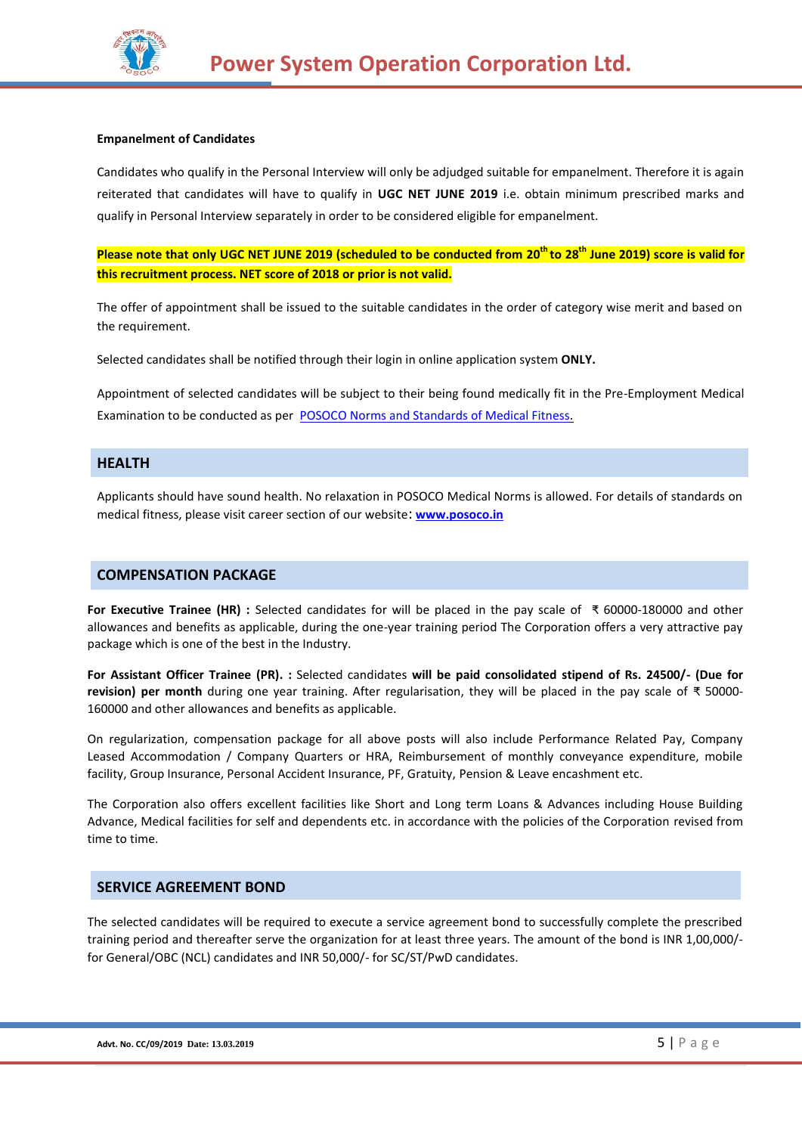

#### **Empanelment of Candidates**

Candidates who qualify in the Personal Interview will only be adjudged suitable for empanelment. Therefore it is again reiterated that candidates will have to qualify in **UGC NET JUNE 2019** i.e. obtain minimum prescribed marks and qualify in Personal Interview separately in order to be considered eligible for empanelment.

**Please note that only UGC NET JUNE 2019 (scheduled to be conducted from 20th to 28th June 2019) score is valid for this recruitment process. NET score of 2018 or prior is not valid.**

The offer of appointment shall be issued to the suitable candidates in the order of category wise merit and based on the requirement.

Selected candidates shall be notified through their login in online application system **ONLY.**

Appointment of selected candidates will be subject to their being found medically fit in the Pre-Employment Medical Examination to be conducted as per [POSOCO Norms and Standards of Medical Fitness.](http://www.powergridindia.com/_layouts/PowerGrid/User/ContentPage.aspx?PId=202&LangID=English)

## **HEALTH**

Applicants should have sound health. No relaxation in POSOCO Medical Norms is allowed. For details of standards on medical fitness, please visit career section of our website: **[www.posoco.in](http://www.posoco.in/)**

### **COMPENSATION PACKAGE**

**For Executive Trainee (HR) :** Selected candidates for will be placed in the pay scale of ₹ 60000-180000 and other allowances and benefits as applicable, during the one-year training period The Corporation offers a very attractive pay package which is one of the best in the Industry.

**For Assistant Officer Trainee (PR). :** Selected candidates **will be paid consolidated stipend of Rs. 24500/- (Due for revision) per month** during one year training. After regularisation, they will be placed in the pay scale of ₹ 50000- 160000 and other allowances and benefits as applicable.

On regularization, compensation package for all above posts will also include Performance Related Pay, Company Leased Accommodation / Company Quarters or HRA, Reimbursement of monthly conveyance expenditure, mobile facility, Group Insurance, Personal Accident Insurance, PF, Gratuity, Pension & Leave encashment etc.

The Corporation also offers excellent facilities like Short and Long term Loans & Advances including House Building Advance, Medical facilities for self and dependents etc. in accordance with the policies of the Corporation revised from time to time.

## **SERVICE AGREEMENT BOND**

The selected candidates will be required to execute a service agreement bond to successfully complete the prescribed training period and thereafter serve the organization for at least three years. The amount of the bond is INR 1,00,000/ for General/OBC (NCL) candidates and INR 50,000/- for SC/ST/PwD candidates.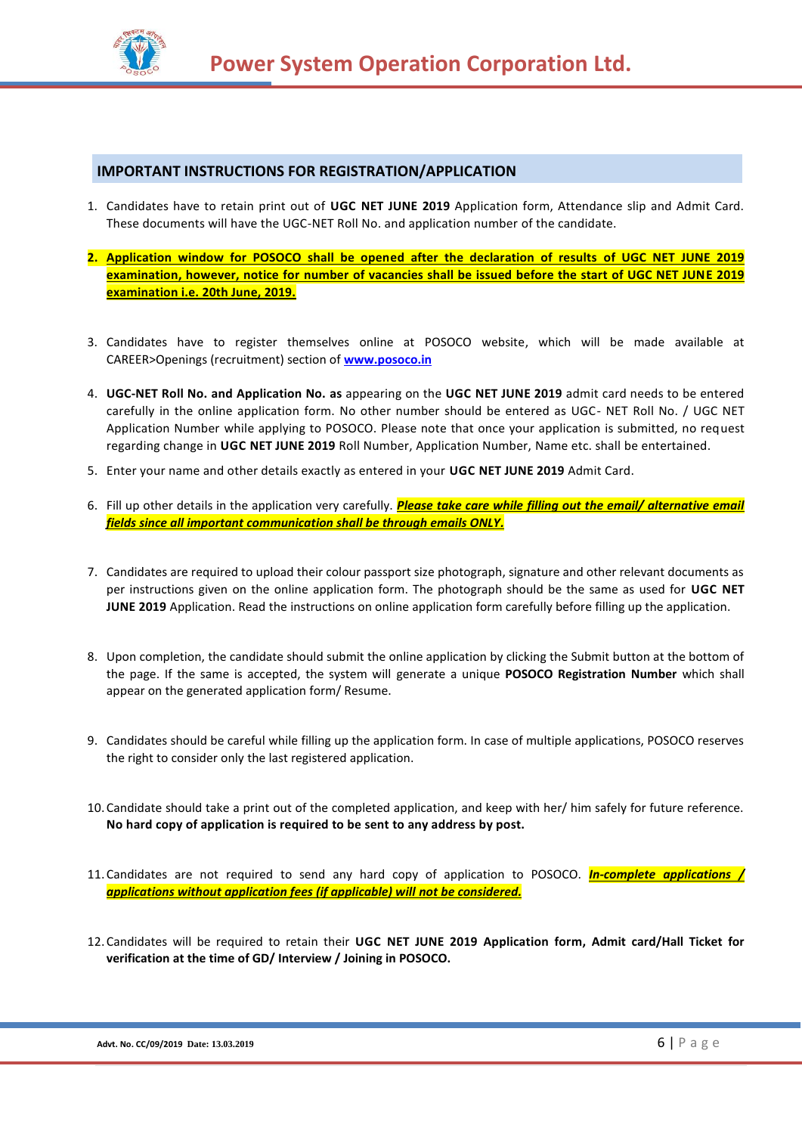

# **IMPORTANT INSTRUCTIONS FOR REGISTRATION/APPLICATION**

- 1. Candidates have to retain print out of **UGC NET JUNE 2019** Application form, Attendance slip and Admit Card. These documents will have the UGC-NET Roll No. and application number of the candidate.
- **2. Application window for POSOCO shall be opened after the declaration of results of UGC NET JUNE 2019 examination, however, notice for number of vacancies shall be issued before the start of UGC NET JUNE 2019 examination i.e. 20th June, 2019.**
- 3. Candidates have to register themselves online at POSOCO website, which will be made available at CAREER>Openings (recruitment) section of **[www.posoco.in](http://www.posoco.in/)**
- 4. **UGC-NET Roll No. and Application No. as** appearing on the **UGC NET JUNE 2019** admit card needs to be entered carefully in the online application form. No other number should be entered as UGC- NET Roll No. / UGC NET Application Number while applying to POSOCO. Please note that once your application is submitted, no request regarding change in **UGC NET JUNE 2019** Roll Number, Application Number, Name etc. shall be entertained.
- 5. Enter your name and other details exactly as entered in your **UGC NET JUNE 2019** Admit Card.
- 6. Fill up other details in the application very carefully. *Please take care while filling out the email/ alternative email fields since all important communication shall be through emails ONLY.*
- 7. Candidates are required to upload their colour passport size photograph, signature and other relevant documents as per instructions given on the online application form. The photograph should be the same as used for **UGC NET JUNE 2019** Application. Read the instructions on online application form carefully before filling up the application.
- 8. Upon completion, the candidate should submit the online application by clicking the Submit button at the bottom of the page. If the same is accepted, the system will generate a unique **POSOCO Registration Number** which shall appear on the generated application form/ Resume.
- 9. Candidates should be careful while filling up the application form. In case of multiple applications, POSOCO reserves the right to consider only the last registered application.
- 10. Candidate should take a print out of the completed application, and keep with her/ him safely for future reference. **No hard copy of application is required to be sent to any address by post.**
- 11. Candidates are not required to send any hard copy of application to POSOCO. *In-complete applications / applications without application fees (if applicable) will not be considered.*
- 12. Candidates will be required to retain their **UGC NET JUNE 2019 Application form, Admit card/Hall Ticket for verification at the time of GD/ Interview / Joining in POSOCO.**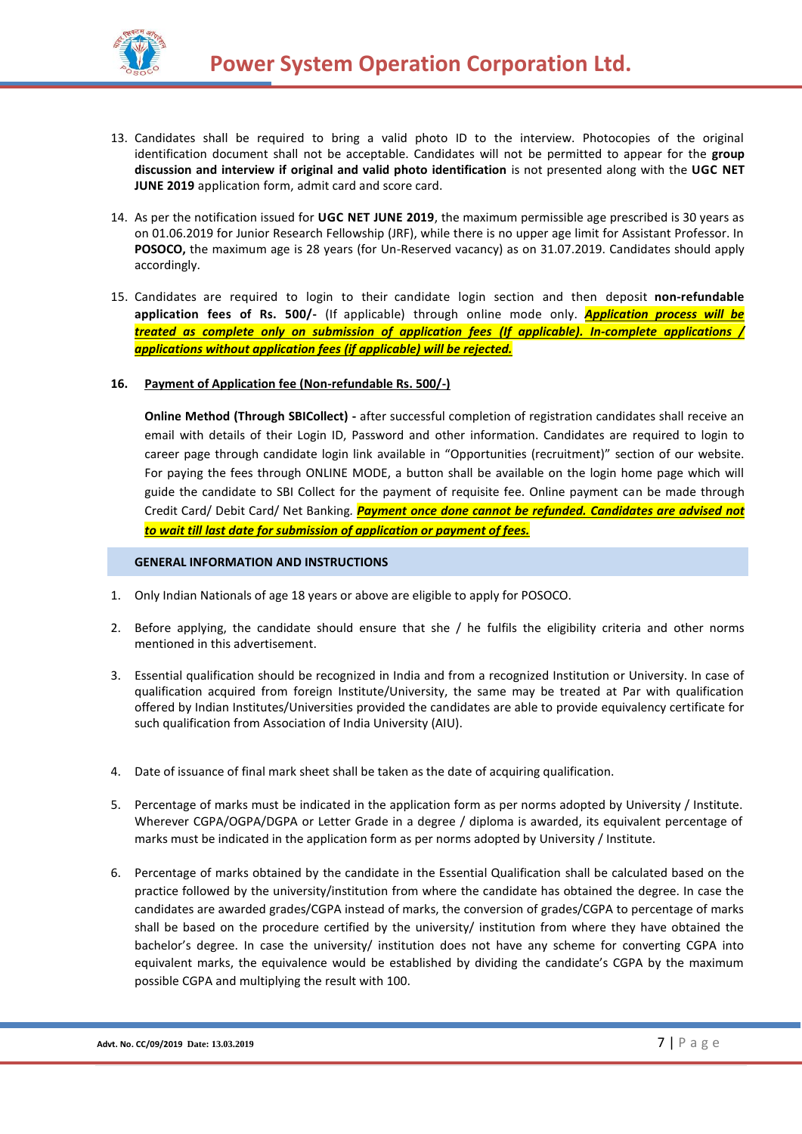

- 13. Candidates shall be required to bring a valid photo ID to the interview. Photocopies of the original identification document shall not be acceptable. Candidates will not be permitted to appear for the **group discussion and interview if original and valid photo identification** is not presented along with the **UGC NET JUNE 2019** application form, admit card and score card.
- 14. As per the notification issued for **UGC NET JUNE 2019**, the maximum permissible age prescribed is 30 years as on 01.06.2019 for Junior Research Fellowship (JRF), while there is no upper age limit for Assistant Professor. In **POSOCO,** the maximum age is 28 years (for Un-Reserved vacancy) as on 31.07.2019. Candidates should apply accordingly.
- 15. Candidates are required to login to their candidate login section and then deposit **non-refundable application fees of Rs. 500/-** (If applicable) through online mode only. *Application process will be treated as complete only on submission of application fees (If applicable). In-complete applications / applications without application fees (if applicable) will be rejected.*
- **16. Payment of Application fee (Non-refundable Rs. 500/-)**

**Online Method (Through SBICollect) -** after successful completion of registration candidates shall receive an email with details of their Login ID, Password and other information. Candidates are required to login to career page through candidate login link available in "Opportunities (recruitment)" section of our website. For paying the fees through ONLINE MODE, a button shall be available on the login home page which will guide the candidate to SBI Collect for the payment of requisite fee. Online payment can be made through Credit Card/ Debit Card/ Net Banking*. Payment once done cannot be refunded. Candidates are advised not to wait till last date for submission of application or payment of fees.*

#### **GENERAL INFORMATION AND INSTRUCTIONS**

- 1. Only Indian Nationals of age 18 years or above are eligible to apply for POSOCO.
- 2. Before applying, the candidate should ensure that she / he fulfils the eligibility criteria and other norms mentioned in this advertisement.
- 3. Essential qualification should be recognized in India and from a recognized Institution or University. In case of qualification acquired from foreign Institute/University, the same may be treated at Par with qualification offered by Indian Institutes/Universities provided the candidates are able to provide equivalency certificate for such qualification from Association of India University (AIU).
- 4. Date of issuance of final mark sheet shall be taken as the date of acquiring qualification.
- 5. Percentage of marks must be indicated in the application form as per norms adopted by University / Institute. Wherever CGPA/OGPA/DGPA or Letter Grade in a degree / diploma is awarded, its equivalent percentage of marks must be indicated in the application form as per norms adopted by University / Institute.
- 6. Percentage of marks obtained by the candidate in the Essential Qualification shall be calculated based on the practice followed by the university/institution from where the candidate has obtained the degree. In case the candidates are awarded grades/CGPA instead of marks, the conversion of grades/CGPA to percentage of marks shall be based on the procedure certified by the university/ institution from where they have obtained the bachelor's degree. In case the university/ institution does not have any scheme for converting CGPA into equivalent marks, the equivalence would be established by dividing the candidate's CGPA by the maximum possible CGPA and multiplying the result with 100.